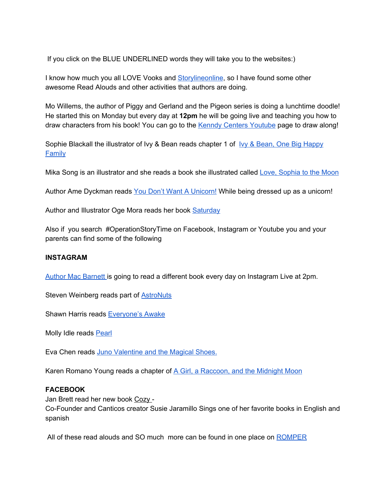If you click on the BLUE UNDERLINED words they will take you to the websites:)

I know how much you all LOVE Vooks and [Storylineonline](https://www.youtube.com/user/StorylineOnline), so I have found some other awesome Read Alouds and other activities that authors are doing.

Mo Willems, the author of Piggy and Gerland and the Pigeon series is doing a lunchtime doodle! He started this on Monday but every day at **12pm** he will be going live and teaching you how to draw characters from his book! You can go to the Kenndy Centers [Youtube](https://www.youtube.com/channel/UCeJesXuEK5ERsyh-0DvM4PQ) page to draw along!

Sophie Blackall the illustrator of Ivy & Bean reads chapter 1 of Ivy & Bean, One Big [Happy](https://www.youtube.com/watch?v=aYE615EpUOg) [Family](https://www.youtube.com/watch?v=aYE615EpUOg)

Mika Song is an illustrator and she reads a book she illustrated called Love, [Sophia](https://www.youtube.com/watch?v=ymvaNb8gsE4&feature=youtu.be) to the Moon

Author Ame Dyckman reads You Don't Want A [Unicorn!](https://www.youtube.com/watch?v=Myx1Hi2sB3c&feature=youtu.be) While being dressed up as a unicorn!

Author and Illustrator Oge Mora reads her book **[Saturday](https://www.youtube.com/watch?time_continue=1&v=G_TKhaMv-cI&feature=emb_logo)** 

Also if you search #OperationStoryTime on Facebook, Instagram or Youtube you and your parents can find some of the following

## **INSTAGRAM**

Author Mac [Barnett](https://www.instagram.com/p/B9ueK7AnSO6/) is going to read a different book every day on Instagram Live at 2pm.

Steven Weinberg reads part of [AstroNuts](https://www.instagram.com/p/B9zBZzNAWIh/)

Shawn Harris reads [Everyone's](https://www.instagram.com/tv/B9zBBfeHf5q/) Awake

Molly Idle reads [Pearl](https://www.instagram.com/tv/B9xP-rQnuCi/)

Eva Chen reads Juno [Valentine](https://www.instagram.com/tv/B9zBT_3AUG_/) and the Magical Shoes.

Karen Romano Young reads a chapter of A Girl, a [Raccoon,](https://www.instagram.com/p/B9y6xHGHDBR/) and the Midnight Moon

## **FACEBOOK**

Jan Brett read her new book Cozy -

Co-Founder and Canticos creator Susie Jaramillo Sings one of her favorite books in English and spanish

All of these read alouds and SO much more can be found in one place on [ROMPER](https://www.romper.com/p/famous-people-reading-childrens-books-is-one-good-thing-during-the-coronavirus-shut-in-22621288)